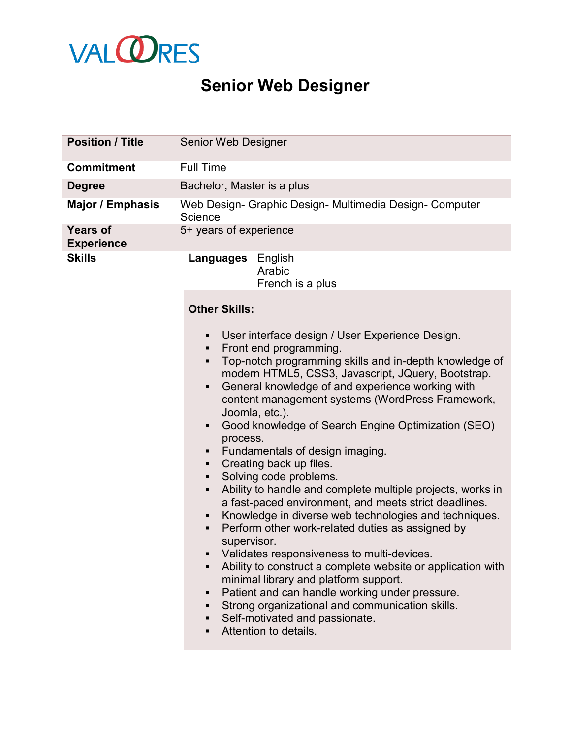

## **Senior Web Designer**

| <b>Position / Title</b>              | Senior Web Designer                                                                                                                                                                                                                                                                                                                                                                                                                                                                                                                                                                                                                                                                                                                                                                                                                                                                                                                                                                                                                                                                                                          |
|--------------------------------------|------------------------------------------------------------------------------------------------------------------------------------------------------------------------------------------------------------------------------------------------------------------------------------------------------------------------------------------------------------------------------------------------------------------------------------------------------------------------------------------------------------------------------------------------------------------------------------------------------------------------------------------------------------------------------------------------------------------------------------------------------------------------------------------------------------------------------------------------------------------------------------------------------------------------------------------------------------------------------------------------------------------------------------------------------------------------------------------------------------------------------|
| <b>Commitment</b>                    | <b>Full Time</b>                                                                                                                                                                                                                                                                                                                                                                                                                                                                                                                                                                                                                                                                                                                                                                                                                                                                                                                                                                                                                                                                                                             |
| <b>Degree</b>                        | Bachelor, Master is a plus                                                                                                                                                                                                                                                                                                                                                                                                                                                                                                                                                                                                                                                                                                                                                                                                                                                                                                                                                                                                                                                                                                   |
| <b>Major / Emphasis</b>              | Web Design- Graphic Design- Multimedia Design- Computer<br>Science                                                                                                                                                                                                                                                                                                                                                                                                                                                                                                                                                                                                                                                                                                                                                                                                                                                                                                                                                                                                                                                           |
| <b>Years of</b><br><b>Experience</b> | 5+ years of experience                                                                                                                                                                                                                                                                                                                                                                                                                                                                                                                                                                                                                                                                                                                                                                                                                                                                                                                                                                                                                                                                                                       |
| <b>Skills</b>                        | <b>Languages</b> English<br>Arabic<br>French is a plus                                                                                                                                                                                                                                                                                                                                                                                                                                                                                                                                                                                                                                                                                                                                                                                                                                                                                                                                                                                                                                                                       |
|                                      | <b>Other Skills:</b>                                                                                                                                                                                                                                                                                                                                                                                                                                                                                                                                                                                                                                                                                                                                                                                                                                                                                                                                                                                                                                                                                                         |
|                                      | User interface design / User Experience Design.<br>٠<br>Front end programming.<br>٠<br>Top-notch programming skills and in-depth knowledge of<br>٠<br>modern HTML5, CSS3, Javascript, JQuery, Bootstrap.<br>General knowledge of and experience working with<br>٠<br>content management systems (WordPress Framework,<br>Joomla, etc.).<br>Good knowledge of Search Engine Optimization (SEO)<br>٠<br>process.<br>Fundamentals of design imaging.<br>Creating back up files.<br>٠<br>Solving code problems.<br>٠<br>Ability to handle and complete multiple projects, works in<br>٠<br>a fast-paced environment, and meets strict deadlines.<br>Knowledge in diverse web technologies and techniques.<br>٠<br>Perform other work-related duties as assigned by<br>٠<br>supervisor.<br>Validates responsiveness to multi-devices.<br>Ability to construct a complete website or application with<br>٠<br>minimal library and platform support.<br>Patient and can handle working under pressure.<br>٠<br>Strong organizational and communication skills.<br>٠<br>Self-motivated and passionate.<br>٠<br>Attention to details. |